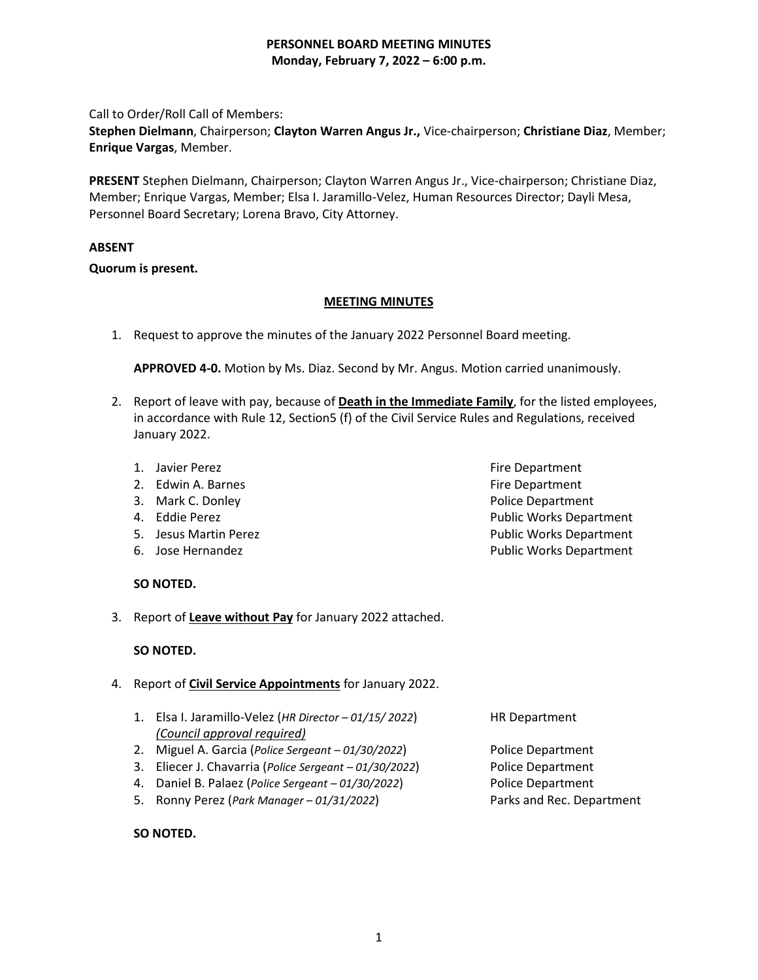Call to Order/Roll Call of Members:

**Stephen Dielmann**, Chairperson; **Clayton Warren Angus Jr.,** Vice-chairperson; **Christiane Diaz**, Member; **Enrique Vargas**, Member.

**PRESENT** Stephen Dielmann, Chairperson; Clayton Warren Angus Jr., Vice-chairperson; Christiane Diaz, Member; Enrique Vargas, Member; Elsa I. Jaramillo-Velez, Human Resources Director; Dayli Mesa, Personnel Board Secretary; Lorena Bravo, City Attorney.

# **ABSENT**

# **Quorum is present.**

# **MEETING MINUTES**

1. Request to approve the minutes of the January 2022 Personnel Board meeting.

**APPROVED 4-0.** Motion by Ms. Diaz. Second by Mr. Angus. Motion carried unanimously.

- 2. Report of leave with pay, because of **Death in the Immediate Family**, for the listed employees, in accordance with Rule 12, Section5 (f) of the Civil Service Rules and Regulations, received January 2022.
	- 1. Javier Perez **Fire Department**
	- 2. Edwin A. Barnes **Fire Department**
	- 3. Mark C. Donley **Police Department**
	-
	-
	-
	- **SO NOTED.**
- 3. Report of **Leave without Pay** for January 2022 attached.

# **SO NOTED.**

- 4. Report of **Civil Service Appointments** for January 2022.
	- 1. Elsa I. Jaramillo-Velez (*HR Director – 01/15/ 2022*) HR Department *(Council approval required)*
	- 2. Miguel A. Garcia (*Police Sergeant – 01/30/2022*) Police Department
	- 3. Eliecer J. Chavarria (*Police Sergeant – 01/30/2022*) Police Department
	- 4. Daniel B. Palaez (*Police Sergeant – 01/30/2022*) Police Department
	- 5. Ronny Perez (*Park Manager – 01/31/2022*) Parks and Rec. Department

#### **SO NOTED.**

1

4. Eddie Perez **Public Works Department** 5. Jesus Martin Perez Public Works Department 6. Jose Hernandez **Public Works Department**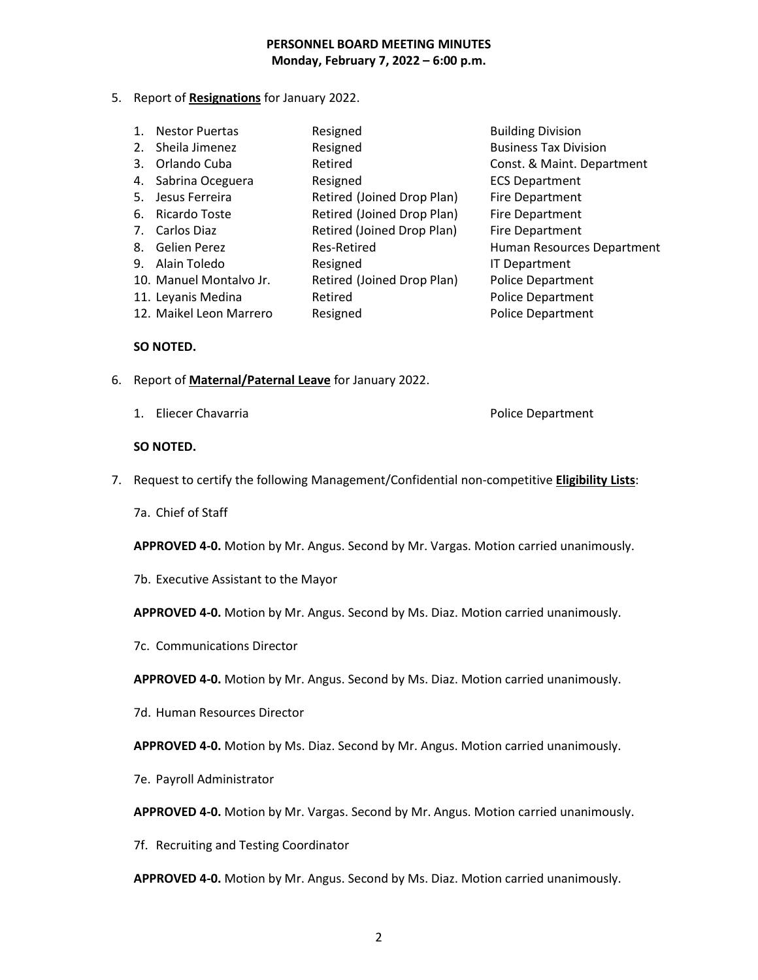5. Report of **Resignations** for January 2022.

| <b>Nestor Puertas</b>   | Resigned                   | <b>Building Division</b>     |
|-------------------------|----------------------------|------------------------------|
| 2. Sheila Jimenez       | Resigned                   | <b>Business Tax Division</b> |
| 3. Orlando Cuba         | Retired                    | Const. & Maint. Department   |
| 4. Sabrina Oceguera     | Resigned                   | <b>ECS Department</b>        |
| Jesus Ferreira          | Retired (Joined Drop Plan) | <b>Fire Department</b>       |
| Ricardo Toste           | Retired (Joined Drop Plan) | <b>Fire Department</b>       |
| Carlos Diaz             | Retired (Joined Drop Plan) | <b>Fire Department</b>       |
| Gelien Perez            | Res-Retired                | Human Resources Department   |
| 9. Alain Toledo         | Resigned                   | <b>IT Department</b>         |
| 10. Manuel Montalvo Jr. | Retired (Joined Drop Plan) | <b>Police Department</b>     |
| 11. Leyanis Medina      | Retired                    | <b>Police Department</b>     |
| 12. Maikel Leon Marrero | Resigned                   | <b>Police Department</b>     |
|                         |                            |                              |

#### **SO NOTED.**

- 6. Report of **Maternal/Paternal Leave** for January 2022.
	- 1. Eliecer Chavarria **Police Department**

#### **SO NOTED.**

- 7. Request to certify the following Management/Confidential non-competitive **Eligibility Lists**:
	- 7a. Chief of Staff

**APPROVED 4-0.** Motion by Mr. Angus. Second by Mr. Vargas. Motion carried unanimously.

7b. Executive Assistant to the Mayor

**APPROVED 4-0.** Motion by Mr. Angus. Second by Ms. Diaz. Motion carried unanimously.

7c. Communications Director

**APPROVED 4-0.** Motion by Mr. Angus. Second by Ms. Diaz. Motion carried unanimously.

7d. Human Resources Director

**APPROVED 4-0.** Motion by Ms. Diaz. Second by Mr. Angus. Motion carried unanimously.

7e. Payroll Administrator

**APPROVED 4-0.** Motion by Mr. Vargas. Second by Mr. Angus. Motion carried unanimously.

7f. Recruiting and Testing Coordinator

**APPROVED 4-0.** Motion by Mr. Angus. Second by Ms. Diaz. Motion carried unanimously.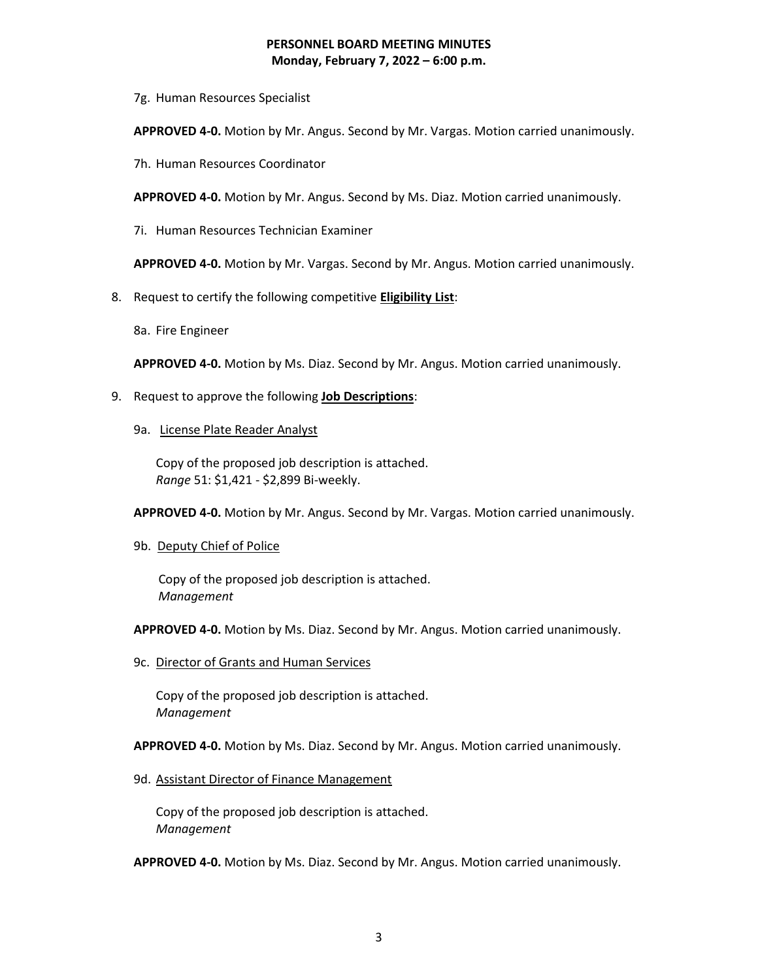7g. Human Resources Specialist

**APPROVED 4-0.** Motion by Mr. Angus. Second by Mr. Vargas. Motion carried unanimously.

7h. Human Resources Coordinator

**APPROVED 4-0.** Motion by Mr. Angus. Second by Ms. Diaz. Motion carried unanimously.

7i. Human Resources Technician Examiner

**APPROVED 4-0.** Motion by Mr. Vargas. Second by Mr. Angus. Motion carried unanimously.

- 8. Request to certify the following competitive **Eligibility List**:
	- 8a. Fire Engineer

**APPROVED 4-0.** Motion by Ms. Diaz. Second by Mr. Angus. Motion carried unanimously.

- 9. Request to approve the following **Job Descriptions**:
	- 9a. License Plate Reader Analyst

 Copy of the proposed job description is attached. *Range* 51: \$1,421 - \$2,899 Bi-weekly.

**APPROVED 4-0.** Motion by Mr. Angus. Second by Mr. Vargas. Motion carried unanimously.

9b. Deputy Chief of Police

 Copy of the proposed job description is attached.  *Management*

**APPROVED 4-0.** Motion by Ms. Diaz. Second by Mr. Angus. Motion carried unanimously.

9c. Director of Grants and Human Services

Copy of the proposed job description is attached. *Management*

**APPROVED 4-0.** Motion by Ms. Diaz. Second by Mr. Angus. Motion carried unanimously.

9d. Assistant Director of Finance Management

Copy of the proposed job description is attached. *Management*

**APPROVED 4-0.** Motion by Ms. Diaz. Second by Mr. Angus. Motion carried unanimously.